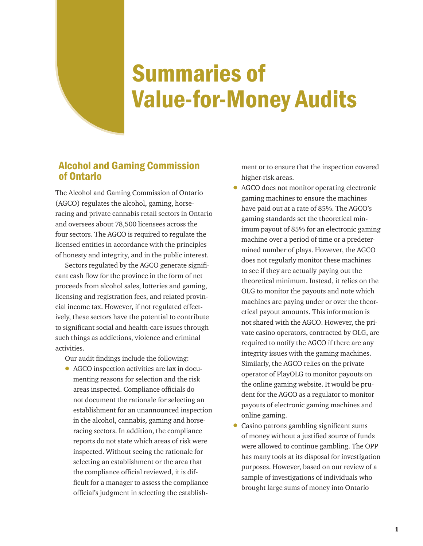# Summaries of Value-for-Money Audits

## Alcohol and Gaming Commission of Ontario

The Alcohol and Gaming Commission of Ontario (AGCO) regulates the alcohol, gaming, horseracing and private cannabis retail sectors in Ontario and oversees about 78,500 licensees across the four sectors. The AGCO is required to regulate the licensed entities in accordance with the principles of honesty and integrity, and in the public interest.

Sectors regulated by the AGCO generate significant cash flow for the province in the form of net proceeds from alcohol sales, lotteries and gaming, licensing and registration fees, and related provincial income tax. However, if not regulated effectively, these sectors have the potential to contribute to significant social and health-care issues through such things as addictions, violence and criminal activities.

Our audit findings include the following:

• AGCO inspection activities are lax in documenting reasons for selection and the risk areas inspected. Compliance officials do not document the rationale for selecting an establishment for an unannounced inspection in the alcohol, cannabis, gaming and horseracing sectors. In addition, the compliance reports do not state which areas of risk were inspected. Without seeing the rationale for selecting an establishment or the area that the compliance official reviewed, it is difficult for a manager to assess the compliance official's judgment in selecting the establish-

ment or to ensure that the inspection covered higher-risk areas.

- AGCO does not monitor operating electronic gaming machines to ensure the machines have paid out at a rate of 85%. The AGCO's gaming standards set the theoretical minimum payout of 85% for an electronic gaming machine over a period of time or a predetermined number of plays. However, the AGCO does not regularly monitor these machines to see if they are actually paying out the theoretical minimum. Instead, it relies on the OLG to monitor the payouts and note which machines are paying under or over the theoretical payout amounts. This information is not shared with the AGCO. However, the private casino operators, contracted by OLG, are required to notify the AGCO if there are any integrity issues with the gaming machines. Similarly, the AGCO relies on the private operator of PlayOLG to monitor payouts on the online gaming website. It would be prudent for the AGCO as a regulator to monitor payouts of electronic gaming machines and online gaming.
- Casino patrons gambling significant sums of money without a justified source of funds were allowed to continue gambling. The OPP has many tools at its disposal for investigation purposes. However, based on our review of a sample of investigations of individuals who brought large sums of money into Ontario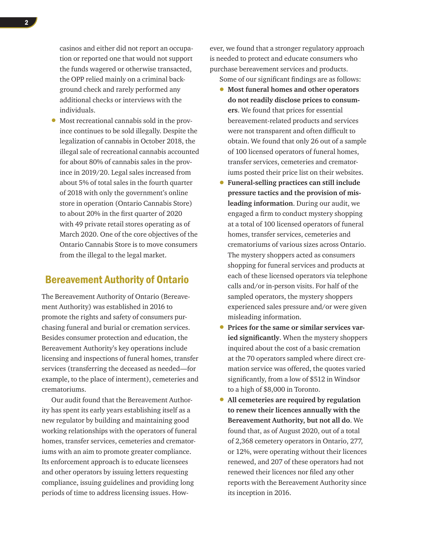casinos and either did not report an occupation or reported one that would not support the funds wagered or otherwise transacted, the OPP relied mainly on a criminal background check and rarely performed any additional checks or interviews with the individuals.

• Most recreational cannabis sold in the province continues to be sold illegally. Despite the legalization of cannabis in October 2018, the illegal sale of recreational cannabis accounted for about 80% of cannabis sales in the province in 2019/20. Legal sales increased from about 5% of total sales in the fourth quarter of 2018 with only the government's online store in operation (Ontario Cannabis Store) to about 20% in the first quarter of 2020 with 49 private retail stores operating as of March 2020. One of the core objectives of the Ontario Cannabis Store is to move consumers from the illegal to the legal market.

#### Bereavement Authority of Ontario

The Bereavement Authority of Ontario (Bereavement Authority) was established in 2016 to promote the rights and safety of consumers purchasing funeral and burial or cremation services. Besides consumer protection and education, the Bereavement Authority's key operations include licensing and inspections of funeral homes, transfer services (transferring the deceased as needed—for example, to the place of interment), cemeteries and crematoriums.

Our audit found that the Bereavement Authority has spent its early years establishing itself as a new regulator by building and maintaining good working relationships with the operators of funeral homes, transfer services, cemeteries and crematoriums with an aim to promote greater compliance. Its enforcement approach is to educate licensees and other operators by issuing letters requesting compliance, issuing guidelines and providing long periods of time to address licensing issues. However, we found that a stronger regulatory approach is needed to protect and educate consumers who purchase bereavement services and products.

Some of our significant findings are as follows:

- **Most funeral homes and other operators do not readily disclose prices to consumers**. We found that prices for essential bereavement-related products and services were not transparent and often difficult to obtain. We found that only 26 out of a sample of 100 licensed operators of funeral homes, transfer services, cemeteries and crematoriums posted their price list on their websites.
- **Funeral-selling practices can still include pressure tactics and the provision of misleading information**. During our audit, we engaged a firm to conduct mystery shopping at a total of 100 licensed operators of funeral homes, transfer services, cemeteries and crematoriums of various sizes across Ontario. The mystery shoppers acted as consumers shopping for funeral services and products at each of these licensed operators via telephone calls and/or in-person visits. For half of the sampled operators, the mystery shoppers experienced sales pressure and/or were given misleading information.
- **Prices for the same or similar services varied significantly**. When the mystery shoppers inquired about the cost of a basic cremation at the 70 operators sampled where direct cremation service was offered, the quotes varied significantly, from a low of \$512 in Windsor to a high of \$8,000 in Toronto.
- **All cemeteries are required by regulation to renew their licences annually with the Bereavement Authority, but not all do**. We found that, as of August 2020, out of a total of 2,368 cemetery operators in Ontario, 277, or 12%, were operating without their licences renewed, and 207 of these operators had not renewed their licences nor filed any other reports with the Bereavement Authority since its inception in 2016.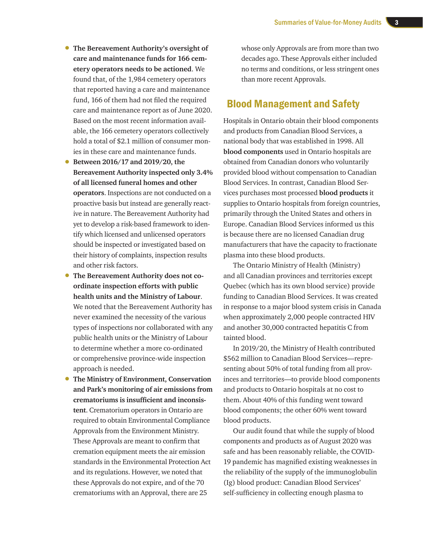- **The Bereavement Authority's oversight of care and maintenance funds for 166 cemetery operators needs to be actioned**. We found that, of the 1,984 cemetery operators that reported having a care and maintenance fund, 166 of them had not filed the required care and maintenance report as of June 2020. Based on the most recent information available, the 166 cemetery operators collectively hold a total of \$2.1 million of consumer monies in these care and maintenance funds.
- **Between 2016/17 and 2019/20, the Bereavement Authority inspected only 3.4% of all licensed funeral homes and other operators**. Inspections are not conducted on a proactive basis but instead are generally reactive in nature. The Bereavement Authority had yet to develop a risk-based framework to identify which licensed and unlicensed operators should be inspected or investigated based on their history of complaints, inspection results and other risk factors.
- **The Bereavement Authority does not coordinate inspection efforts with public health units and the Ministry of Labour**. We noted that the Bereavement Authority has never examined the necessity of the various types of inspections nor collaborated with any public health units or the Ministry of Labour to determine whether a more co-ordinated or comprehensive province-wide inspection approach is needed.
- **The Ministry of Environment, Conservation and Park's monitoring of air emissions from crematoriums is insufficient and inconsistent**. Crematorium operators in Ontario are required to obtain Environmental Compliance Approvals from the Environment Ministry. These Approvals are meant to confirm that cremation equipment meets the air emission standards in the Environmental Protection Act and its regulations. However, we noted that these Approvals do not expire, and of the 70 crematoriums with an Approval, there are 25

whose only Approvals are from more than two decades ago. These Approvals either included no terms and conditions, or less stringent ones than more recent Approvals.

#### Blood Management and Safety

Hospitals in Ontario obtain their blood components and products from Canadian Blood Services, a national body that was established in 1998. All **blood components** used in Ontario hospitals are obtained from Canadian donors who voluntarily provided blood without compensation to Canadian Blood Services. In contrast, Canadian Blood Services purchases most processed **blood products** it supplies to Ontario hospitals from foreign countries, primarily through the United States and others in Europe. Canadian Blood Services informed us this is because there are no licensed Canadian drug manufacturers that have the capacity to fractionate plasma into these blood products.

The Ontario Ministry of Health (Ministry) and all Canadian provinces and territories except Quebec (which has its own blood service) provide funding to Canadian Blood Services. It was created in response to a major blood system crisis in Canada when approximately 2,000 people contracted HIV and another 30,000 contracted hepatitis C from tainted blood.

In 2019/20, the Ministry of Health contributed \$562 million to Canadian Blood Services—representing about 50% of total funding from all provinces and territories—to provide blood components and products to Ontario hospitals at no cost to them. About 40% of this funding went toward blood components; the other 60% went toward blood products.

Our audit found that while the supply of blood components and products as of August 2020 was safe and has been reasonably reliable, the COVID-19 pandemic has magnified existing weaknesses in the reliability of the supply of the immunoglobulin (Ig) blood product: Canadian Blood Services' self-sufficiency in collecting enough plasma to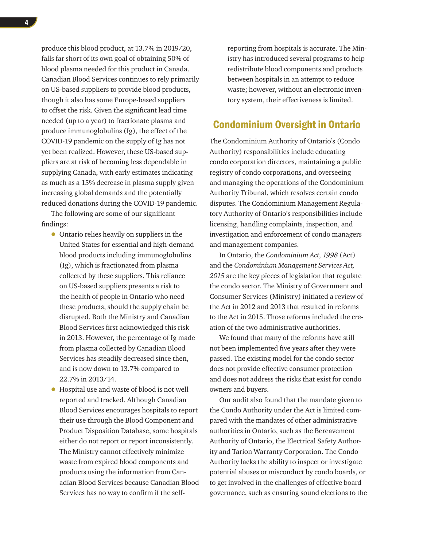produce this blood product, at 13.7% in 2019/20, falls far short of its own goal of obtaining 50% of blood plasma needed for this product in Canada. Canadian Blood Services continues to rely primarily on US-based suppliers to provide blood products, though it also has some Europe-based suppliers to offset the risk. Given the significant lead time needed (up to a year) to fractionate plasma and produce immunoglobulins (Ig), the effect of the COVID-19 pandemic on the supply of Ig has not yet been realized. However, these US-based suppliers are at risk of becoming less dependable in supplying Canada, with early estimates indicating as much as a 15% decrease in plasma supply given increasing global demands and the potentially reduced donations during the COVID-19 pandemic.

The following are some of our significant findings:

- Ontario relies heavily on suppliers in the United States for essential and high-demand blood products including immunoglobulins (Ig), which is fractionated from plasma collected by these suppliers. This reliance on US-based suppliers presents a risk to the health of people in Ontario who need these products, should the supply chain be disrupted. Both the Ministry and Canadian Blood Services first acknowledged this risk in 2013. However, the percentage of Ig made from plasma collected by Canadian Blood Services has steadily decreased since then, and is now down to 13.7% compared to 22.7% in 2013/14.
- Hospital use and waste of blood is not well reported and tracked. Although Canadian Blood Services encourages hospitals to report their use through the Blood Component and Product Disposition Database, some hospitals either do not report or report inconsistently. The Ministry cannot effectively minimize waste from expired blood components and products using the information from Canadian Blood Services because Canadian Blood Services has no way to confirm if the self-

reporting from hospitals is accurate. The Ministry has introduced several programs to help redistribute blood components and products between hospitals in an attempt to reduce waste; however, without an electronic inventory system, their effectiveness is limited.

## Condominium Oversight in Ontario

The Condominium Authority of Ontario's (Condo Authority) responsibilities include educating condo corporation directors, maintaining a public registry of condo corporations, and overseeing and managing the operations of the Condominium Authority Tribunal, which resolves certain condo disputes. The Condominium Management Regulatory Authority of Ontario's responsibilities include licensing, handling complaints, inspection, and investigation and enforcement of condo managers and management companies.

In Ontario, the *Condominium Act, 1998* (Act) and the *Condominium Management Services Act, 2015* are the key pieces of legislation that regulate the condo sector. The Ministry of Government and Consumer Services (Ministry) initiated a review of the Act in 2012 and 2013 that resulted in reforms to the Act in 2015. Those reforms included the creation of the two administrative authorities.

We found that many of the reforms have still not been implemented five years after they were passed. The existing model for the condo sector does not provide effective consumer protection and does not address the risks that exist for condo owners and buyers.

Our audit also found that the mandate given to the Condo Authority under the Act is limited compared with the mandates of other administrative authorities in Ontario, such as the Bereavement Authority of Ontario, the Electrical Safety Authority and Tarion Warranty Corporation. The Condo Authority lacks the ability to inspect or investigate potential abuses or misconduct by condo boards, or to get involved in the challenges of effective board governance, such as ensuring sound elections to the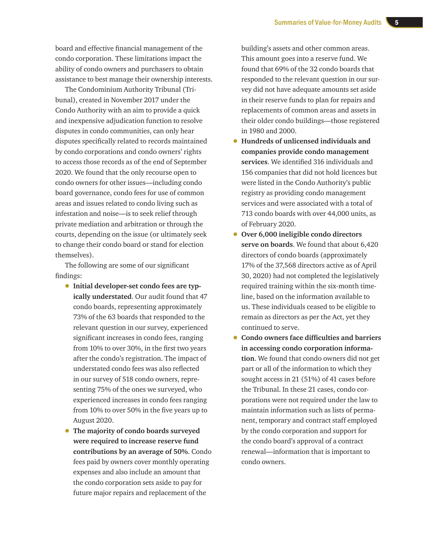board and effective financial management of the condo corporation. These limitations impact the ability of condo owners and purchasers to obtain assistance to best manage their ownership interests.

The Condominium Authority Tribunal (Tribunal), created in November 2017 under the Condo Authority with an aim to provide a quick and inexpensive adjudication function to resolve disputes in condo communities, can only hear disputes specifically related to records maintained by condo corporations and condo owners' rights to access those records as of the end of September 2020. We found that the only recourse open to condo owners for other issues—including condo board governance, condo fees for use of common areas and issues related to condo living such as infestation and noise—is to seek relief through private mediation and arbitration or through the courts, depending on the issue (or ultimately seek to change their condo board or stand for election themselves).

The following are some of our significant findings:

- **Initial developer-set condo fees are typically understated**. Our audit found that 47 condo boards, representing approximately 73% of the 63 boards that responded to the relevant question in our survey, experienced significant increases in condo fees, ranging from 10% to over 30%, in the first two years after the condo's registration. The impact of understated condo fees was also reflected in our survey of 518 condo owners, representing 75% of the ones we surveyed, who experienced increases in condo fees ranging from 10% to over 50% in the five years up to August 2020.
- **The majority of condo boards surveyed were required to increase reserve fund contributions by an average of 50%**. Condo fees paid by owners cover monthly operating expenses and also include an amount that the condo corporation sets aside to pay for future major repairs and replacement of the

building's assets and other common areas. This amount goes into a reserve fund. We found that 69% of the 32 condo boards that responded to the relevant question in our survey did not have adequate amounts set aside in their reserve funds to plan for repairs and replacements of common areas and assets in their older condo buildings—those registered in 1980 and 2000.

- **Hundreds of unlicensed individuals and companies provide condo management services**. We identified 316 individuals and 156 companies that did not hold licences but were listed in the Condo Authority's public registry as providing condo management services and were associated with a total of 713 condo boards with over 44,000 units, as of February 2020.
- **Over 6,000 ineligible condo directors serve on boards**. We found that about 6,420 directors of condo boards (approximately 17% of the 37,568 directors active as of April 30, 2020) had not completed the legislatively required training within the six-month timeline, based on the information available to us. These individuals ceased to be eligible to remain as directors as per the Act, yet they continued to serve.
- **Condo owners face difficulties and barriers in accessing condo corporation information**. We found that condo owners did not get part or all of the information to which they sought access in 21 (51%) of 41 cases before the Tribunal. In these 21 cases, condo corporations were not required under the law to maintain information such as lists of permanent, temporary and contract staff employed by the condo corporation and support for the condo board's approval of a contract renewal—information that is important to condo owners.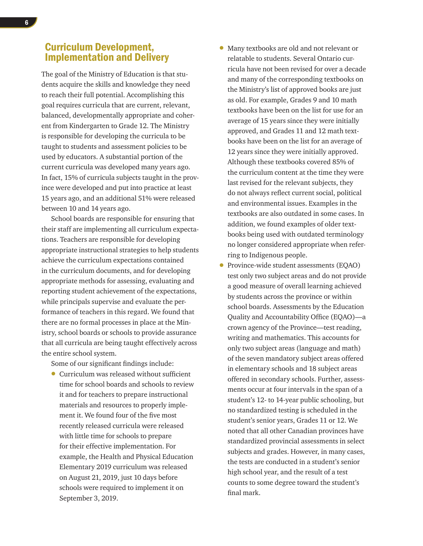## Curriculum Development, Implementation and Delivery

The goal of the Ministry of Education is that students acquire the skills and knowledge they need to reach their full potential. Accomplishing this goal requires curricula that are current, relevant, balanced, developmentally appropriate and coherent from Kindergarten to Grade 12. The Ministry is responsible for developing the curricula to be taught to students and assessment policies to be used by educators. A substantial portion of the current curricula was developed many years ago. In fact, 15% of curricula subjects taught in the province were developed and put into practice at least 15 years ago, and an additional 51% were released between 10 and 14 years ago.

School boards are responsible for ensuring that their staff are implementing all curriculum expectations. Teachers are responsible for developing appropriate instructional strategies to help students achieve the curriculum expectations contained in the curriculum documents, and for developing appropriate methods for assessing, evaluating and reporting student achievement of the expectations, while principals supervise and evaluate the performance of teachers in this regard. We found that there are no formal processes in place at the Ministry, school boards or schools to provide assurance that all curricula are being taught effectively across the entire school system.

Some of our significant findings include:

• Curriculum was released without sufficient time for school boards and schools to review it and for teachers to prepare instructional materials and resources to properly implement it. We found four of the five most recently released curricula were released with little time for schools to prepare for their effective implementation. For example, the Health and Physical Education Elementary 2019 curriculum was released on August 21, 2019, just 10 days before schools were required to implement it on September 3, 2019.

- Many textbooks are old and not relevant or relatable to students. Several Ontario curricula have not been revised for over a decade and many of the corresponding textbooks on the Ministry's list of approved books are just as old. For example, Grades 9 and 10 math textbooks have been on the list for use for an average of 15 years since they were initially approved, and Grades 11 and 12 math textbooks have been on the list for an average of 12 years since they were initially approved. Although these textbooks covered 85% of the curriculum content at the time they were last revised for the relevant subjects, they do not always reflect current social, political and environmental issues. Examples in the textbooks are also outdated in some cases. In addition, we found examples of older textbooks being used with outdated terminology no longer considered appropriate when referring to Indigenous people.
- Province-wide student assessments (EQAO) test only two subject areas and do not provide a good measure of overall learning achieved by students across the province or within school boards. Assessments by the Education Quality and Accountability Office (EQAO)—a crown agency of the Province—test reading, writing and mathematics. This accounts for only two subject areas (language and math) of the seven mandatory subject areas offered in elementary schools and 18 subject areas offered in secondary schools. Further, assessments occur at four intervals in the span of a student's 12- to 14-year public schooling, but no standardized testing is scheduled in the student's senior years, Grades 11 or 12. We noted that all other Canadian provinces have standardized provincial assessments in select subjects and grades. However, in many cases, the tests are conducted in a student's senior high school year, and the result of a test counts to some degree toward the student's final mark.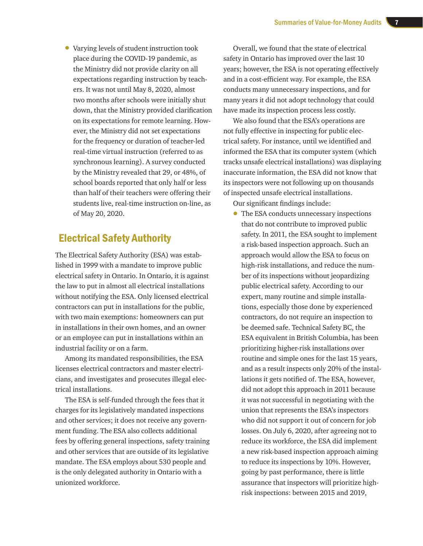• Varying levels of student instruction took place during the COVID-19 pandemic, as the Ministry did not provide clarity on all expectations regarding instruction by teachers. It was not until May 8, 2020, almost two months after schools were initially shut down, that the Ministry provided clarification on its expectations for remote learning. However, the Ministry did not set expectations for the frequency or duration of teacher-led real-time virtual instruction (referred to as synchronous learning). A survey conducted by the Ministry revealed that 29, or 48%, of school boards reported that only half or less than half of their teachers were offering their students live, real-time instruction on-line, as of May 20, 2020.

## Electrical Safety Authority

The Electrical Safety Authority (ESA) was established in 1999 with a mandate to improve public electrical safety in Ontario. In Ontario, it is against the law to put in almost all electrical installations without notifying the ESA. Only licensed electrical contractors can put in installations for the public, with two main exemptions: homeowners can put in installations in their own homes, and an owner or an employee can put in installations within an industrial facility or on a farm.

Among its mandated responsibilities, the ESA licenses electrical contractors and master electricians, and investigates and prosecutes illegal electrical installations.

The ESA is self-funded through the fees that it charges for its legislatively mandated inspections and other services; it does not receive any government funding. The ESA also collects additional fees by offering general inspections, safety training and other services that are outside of its legislative mandate. The ESA employs about 530 people and is the only delegated authority in Ontario with a unionized workforce.

Overall, we found that the state of electrical safety in Ontario has improved over the last 10 years; however, the ESA is not operating effectively and in a cost-efficient way. For example, the ESA conducts many unnecessary inspections, and for many years it did not adopt technology that could have made its inspection process less costly.

We also found that the ESA's operations are not fully effective in inspecting for public electrical safety. For instance, until we identified and informed the ESA that its computer system (which tracks unsafe electrical installations) was displaying inaccurate information, the ESA did not know that its inspectors were not following up on thousands of inspected unsafe electrical installations.

Our significant findings include:

• The ESA conducts unnecessary inspections that do not contribute to improved public safety. In 2011, the ESA sought to implement a risk-based inspection approach. Such an approach would allow the ESA to focus on high-risk installations, and reduce the number of its inspections without jeopardizing public electrical safety. According to our expert, many routine and simple installations, especially those done by experienced contractors, do not require an inspection to be deemed safe. Technical Safety BC, the ESA equivalent in British Columbia, has been prioritizing higher-risk installations over routine and simple ones for the last 15 years, and as a result inspects only 20% of the installations it gets notified of. The ESA, however, did not adopt this approach in 2011 because it was not successful in negotiating with the union that represents the ESA's inspectors who did not support it out of concern for job losses. On July 6, 2020, after agreeing not to reduce its workforce, the ESA did implement a new risk-based inspection approach aiming to reduce its inspections by 10%. However, going by past performance, there is little assurance that inspectors will prioritize highrisk inspections: between 2015 and 2019,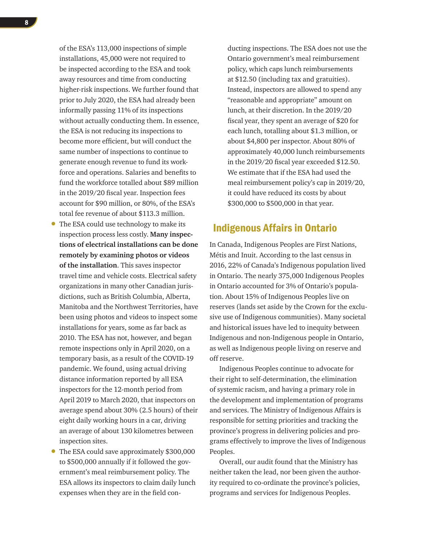of the ESA's 113,000 inspections of simple installations, 45,000 were not required to be inspected according to the ESA and took away resources and time from conducting higher-risk inspections. We further found that prior to July 2020, the ESA had already been informally passing 11% of its inspections without actually conducting them. In essence, the ESA is not reducing its inspections to become more efficient, but will conduct the same number of inspections to continue to generate enough revenue to fund its workforce and operations. Salaries and benefits to fund the workforce totalled about \$89 million in the 2019/20 fiscal year. Inspection fees account for \$90 million, or 80%, of the ESA's total fee revenue of about \$113.3 million.

- The ESA could use technology to make its inspection process less costly. **Many inspections of electrical installations can be done remotely by examining photos or videos of the installation**. This saves inspector travel time and vehicle costs. Electrical safety organizations in many other Canadian jurisdictions, such as British Columbia, Alberta, Manitoba and the Northwest Territories, have been using photos and videos to inspect some installations for years, some as far back as 2010. The ESA has not, however, and began remote inspections only in April 2020, on a temporary basis, as a result of the COVID-19 pandemic. We found, using actual driving distance information reported by all ESA inspectors for the 12-month period from April 2019 to March 2020, that inspectors on average spend about 30% (2.5 hours) of their eight daily working hours in a car, driving an average of about 130 kilometres between inspection sites.
- The ESA could save approximately \$300,000 to \$500,000 annually if it followed the government's meal reimbursement policy. The ESA allows its inspectors to claim daily lunch expenses when they are in the field con-

ducting inspections. The ESA does not use the Ontario government's meal reimbursement policy, which caps lunch reimbursements at \$12.50 (including tax and gratuities). Instead, inspectors are allowed to spend any "reasonable and appropriate" amount on lunch, at their discretion. In the 2019/20 fiscal year, they spent an average of \$20 for each lunch, totalling about \$1.3 million, or about \$4,800 per inspector. About 80% of approximately 40,000 lunch reimbursements in the 2019/20 fiscal year exceeded \$12.50. We estimate that if the ESA had used the meal reimbursement policy's cap in 2019/20, it could have reduced its costs by about \$300,000 to \$500,000 in that year.

## Indigenous Affairs in Ontario

In Canada, Indigenous Peoples are First Nations, Métis and Inuit. According to the last census in 2016, 22% of Canada's Indigenous population lived in Ontario. The nearly 375,000 Indigenous Peoples in Ontario accounted for 3% of Ontario's population. About 15% of Indigenous Peoples live on reserves (lands set aside by the Crown for the exclusive use of Indigenous communities). Many societal and historical issues have led to inequity between Indigenous and non-Indigenous people in Ontario, as well as Indigenous people living on reserve and off reserve.

Indigenous Peoples continue to advocate for their right to self-determination, the elimination of systemic racism, and having a primary role in the development and implementation of programs and services. The Ministry of Indigenous Affairs is responsible for setting priorities and tracking the province's progress in delivering policies and programs effectively to improve the lives of Indigenous Peoples.

Overall, our audit found that the Ministry has neither taken the lead, nor been given the authority required to co-ordinate the province's policies, programs and services for Indigenous Peoples.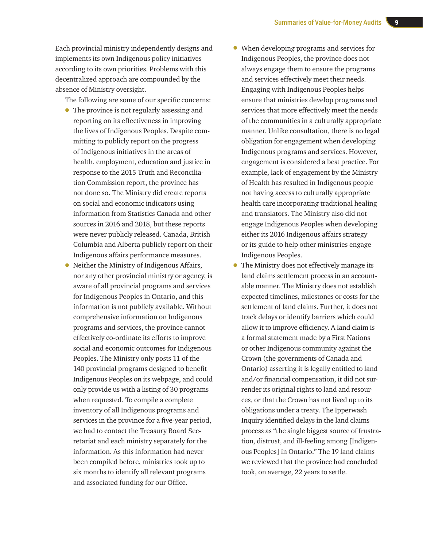Each provincial ministry independently designs and implements its own Indigenous policy initiatives according to its own priorities. Problems with this decentralized approach are compounded by the absence of Ministry oversight.

The following are some of our specific concerns:

- The province is not regularly assessing and reporting on its effectiveness in improving the lives of Indigenous Peoples. Despite committing to publicly report on the progress of Indigenous initiatives in the areas of health, employment, education and justice in response to the 2015 Truth and Reconciliation Commission report, the province has not done so. The Ministry did create reports on social and economic indicators using information from Statistics Canada and other sources in 2016 and 2018, but these reports were never publicly released. Canada, British Columbia and Alberta publicly report on their Indigenous affairs performance measures.
- Neither the Ministry of Indigenous Affairs, nor any other provincial ministry or agency, is aware of all provincial programs and services for Indigenous Peoples in Ontario, and this information is not publicly available. Without comprehensive information on Indigenous programs and services, the province cannot effectively co-ordinate its efforts to improve social and economic outcomes for Indigenous Peoples. The Ministry only posts 11 of the 140 provincial programs designed to benefit Indigenous Peoples on its webpage, and could only provide us with a listing of 30 programs when requested. To compile a complete inventory of all Indigenous programs and services in the province for a five-year period, we had to contact the Treasury Board Secretariat and each ministry separately for the information. As this information had never been compiled before, ministries took up to six months to identify all relevant programs and associated funding for our Office.
- When developing programs and services for Indigenous Peoples, the province does not always engage them to ensure the programs and services effectively meet their needs. Engaging with Indigenous Peoples helps ensure that ministries develop programs and services that more effectively meet the needs of the communities in a culturally appropriate manner. Unlike consultation, there is no legal obligation for engagement when developing Indigenous programs and services. However, engagement is considered a best practice. For example, lack of engagement by the Ministry of Health has resulted in Indigenous people not having access to culturally appropriate health care incorporating traditional healing and translators. The Ministry also did not engage Indigenous Peoples when developing either its 2016 Indigenous affairs strategy or its guide to help other ministries engage Indigenous Peoples.
- The Ministry does not effectively manage its land claims settlement process in an accountable manner. The Ministry does not establish expected timelines, milestones or costs for the settlement of land claims. Further, it does not track delays or identify barriers which could allow it to improve efficiency. A land claim is a formal statement made by a First Nations or other Indigenous community against the Crown (the governments of Canada and Ontario) asserting it is legally entitled to land and/or financial compensation, it did not surrender its original rights to land and resources, or that the Crown has not lived up to its obligations under a treaty. The Ipperwash Inquiry identified delays in the land claims process as "the single biggest source of frustration, distrust, and ill-feeling among [Indigenous Peoples] in Ontario." The 19 land claims we reviewed that the province had concluded took, on average, 22 years to settle.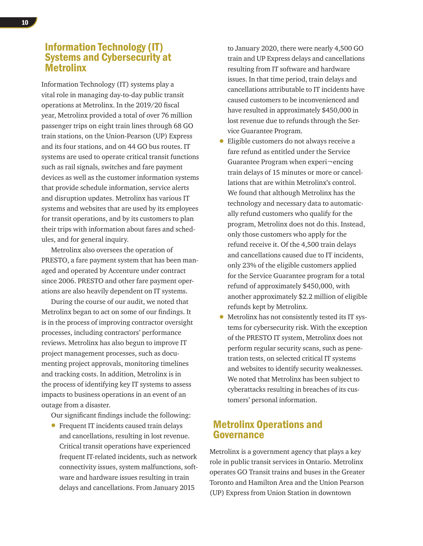## Information Technology (IT) Systems and Cybersecurity at Metrolinx

Information Technology (IT) systems play a vital role in managing day-to-day public transit operations at Metrolinx. In the 2019/20 fiscal year, Metrolinx provided a total of over 76 million passenger trips on eight train lines through 68 GO train stations, on the Union-Pearson (UP) Express and its four stations, and on 44 GO bus routes. IT systems are used to operate critical transit functions such as rail signals, switches and fare payment devices as well as the customer information systems that provide schedule information, service alerts and disruption updates. Metrolinx has various IT systems and websites that are used by its employees for transit operations, and by its customers to plan their trips with information about fares and schedules, and for general inquiry.

Metrolinx also oversees the operation of PRESTO, a fare payment system that has been managed and operated by Accenture under contract since 2006. PRESTO and other fare payment operations are also heavily dependent on IT systems.

During the course of our audit, we noted that Metrolinx began to act on some of our findings. It is in the process of improving contractor oversight processes, including contractors' performance reviews. Metrolinx has also begun to improve IT project management processes, such as documenting project approvals, monitoring timelines and tracking costs. In addition, Metrolinx is in the process of identifying key IT systems to assess impacts to business operations in an event of an outage from a disaster.

Our significant findings include the following:

• Frequent IT incidents caused train delays and cancellations, resulting in lost revenue. Critical transit operations have experienced frequent IT-related incidents, such as network connectivity issues, system malfunctions, software and hardware issues resulting in train delays and cancellations. From January 2015

to January 2020, there were nearly 4,500 GO train and UP Express delays and cancellations resulting from IT software and hardware issues. In that time period, train delays and cancellations attributable to IT incidents have caused customers to be inconvenienced and have resulted in approximately \$450,000 in lost revenue due to refunds through the Service Guarantee Program.

- Eligible customers do not always receive a fare refund as entitled under the Service Guarantee Program when experi¬encing train delays of 15 minutes or more or cancellations that are within Metrolinx's control. We found that although Metrolinx has the technology and necessary data to automatically refund customers who qualify for the program, Metrolinx does not do this. Instead, only those customers who apply for the refund receive it. Of the 4,500 train delays and cancellations caused due to IT incidents, only 23% of the eligible customers applied for the Service Guarantee program for a total refund of approximately \$450,000, with another approximately \$2.2 million of eligible refunds kept by Metrolinx.
- Metrolinx has not consistently tested its IT systems for cybersecurity risk. With the exception of the PRESTO IT system, Metrolinx does not perform regular security scans, such as penetration tests, on selected critical IT systems and websites to identify security weaknesses. We noted that Metrolinx has been subject to cyberattacks resulting in breaches of its customers' personal information.

## Metrolinx Operations and Governance

Metrolinx is a government agency that plays a key role in public transit services in Ontario. Metrolinx operates GO Transit trains and buses in the Greater Toronto and Hamilton Area and the Union Pearson (UP) Express from Union Station in downtown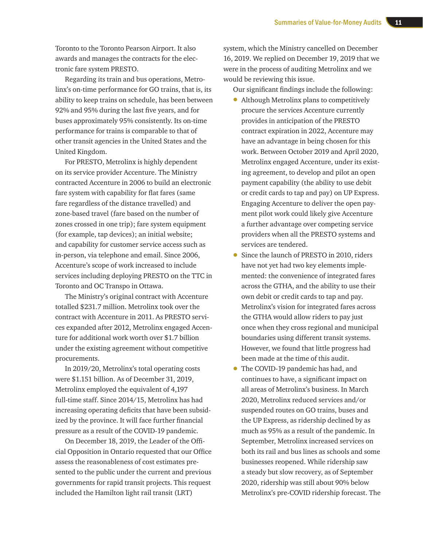Toronto to the Toronto Pearson Airport. It also awards and manages the contracts for the electronic fare system PRESTO.

Regarding its train and bus operations, Metrolinx's on-time performance for GO trains, that is, its ability to keep trains on schedule, has been between 92% and 95% during the last five years, and for buses approximately 95% consistently. Its on-time performance for trains is comparable to that of other transit agencies in the United States and the United Kingdom.

For PRESTO, Metrolinx is highly dependent on its service provider Accenture. The Ministry contracted Accenture in 2006 to build an electronic fare system with capability for flat fares (same fare regardless of the distance travelled) and zone-based travel (fare based on the number of zones crossed in one trip); fare system equipment (for example, tap devices); an initial website; and capability for customer service access such as in-person, via telephone and email. Since 2006, Accenture's scope of work increased to include services including deploying PRESTO on the TTC in Toronto and OC Transpo in Ottawa.

The Ministry's original contract with Accenture totalled \$231.7 million. Metrolinx took over the contract with Accenture in 2011. As PRESTO services expanded after 2012, Metrolinx engaged Accenture for additional work worth over \$1.7 billion under the existing agreement without competitive procurements.

In 2019/20, Metrolinx's total operating costs were \$1.151 billion. As of December 31, 2019, Metrolinx employed the equivalent of 4,197 full-time staff. Since 2014/15, Metrolinx has had increasing operating deficits that have been subsidized by the province. It will face further financial pressure as a result of the COVID-19 pandemic.

On December 18, 2019, the Leader of the Official Opposition in Ontario requested that our Office assess the reasonableness of cost estimates presented to the public under the current and previous governments for rapid transit projects. This request included the Hamilton light rail transit (LRT)

system, which the Ministry cancelled on December 16, 2019. We replied on December 19, 2019 that we were in the process of auditing Metrolinx and we would be reviewing this issue.

Our significant findings include the following:

- Although Metrolinx plans to competitively procure the services Accenture currently provides in anticipation of the PRESTO contract expiration in 2022, Accenture may have an advantage in being chosen for this work. Between October 2019 and April 2020, Metrolinx engaged Accenture, under its existing agreement, to develop and pilot an open payment capability (the ability to use debit or credit cards to tap and pay) on UP Express. Engaging Accenture to deliver the open payment pilot work could likely give Accenture a further advantage over competing service providers when all the PRESTO systems and services are tendered.
- Since the launch of PRESTO in 2010, riders have not yet had two key elements implemented: the convenience of integrated fares across the GTHA, and the ability to use their own debit or credit cards to tap and pay. Metrolinx's vision for integrated fares across the GTHA would allow riders to pay just once when they cross regional and municipal boundaries using different transit systems. However, we found that little progress had been made at the time of this audit.
- The COVID-19 pandemic has had, and continues to have, a significant impact on all areas of Metrolinx's business. In March 2020, Metrolinx reduced services and/or suspended routes on GO trains, buses and the UP Express, as ridership declined by as much as 95% as a result of the pandemic. In September, Metrolinx increased services on both its rail and bus lines as schools and some businesses reopened. While ridership saw a steady but slow recovery, as of September 2020, ridership was still about 90% below Metrolinx's pre-COVID ridership forecast. The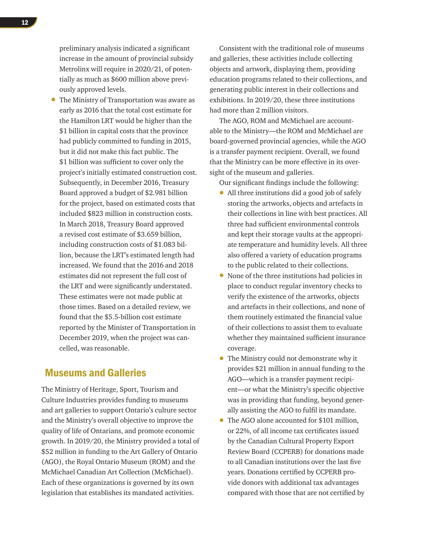preliminary analysis indicated a significant increase in the amount of provincial subsidy Metrolinx will require in 2020/21, of potentially as much as \$600 million above previously approved levels.

• The Ministry of Transportation was aware as early as 2016 that the total cost estimate for the Hamilton LRT would be higher than the \$1 billion in capital costs that the province had publicly committed to funding in 2015, but it did not make this fact public. The \$1 billion was sufficient to cover only the project's initially estimated construction cost. Subsequently, in December 2016, Treasury Board approved a budget of \$2.981 billion for the project, based on estimated costs that included \$823 million in construction costs. In March 2018, Treasury Board approved a revised cost estimate of \$3.659 billion, including construction costs of \$1.083 billion, because the LRT's estimated length had increased. We found that the 2016 and 2018 estimates did not represent the full cost of the LRT and were significantly understated. These estimates were not made public at those times. Based on a detailed review, we found that the \$5.5-billion cost estimate reported by the Minister of Transportation in December 2019, when the project was cancelled, was reasonable.

#### Museums and Galleries

The Ministry of Heritage, Sport, Tourism and Culture Industries provides funding to museums and art galleries to support Ontario's culture sector and the Ministry's overall objective to improve the quality of life of Ontarians, and promote economic growth. In 2019/20, the Ministry provided a total of \$52 million in funding to the Art Gallery of Ontario (AGO), the Royal Ontario Museum (ROM) and the McMichael Canadian Art Collection (McMichael). Each of these organizations is governed by its own legislation that establishes its mandated activities.

Consistent with the traditional role of museums and galleries, these activities include collecting objects and artwork, displaying them, providing education programs related to their collections, and generating public interest in their collections and exhibitions. In 2019/20, these three institutions had more than 2 million visitors.

The AGO, ROM and McMichael are accountable to the Ministry—the ROM and McMichael are board-governed provincial agencies, while the AGO is a transfer payment recipient. Overall, we found that the Ministry can be more effective in its oversight of the museum and galleries.

Our significant findings include the following:

- All three institutions did a good job of safely storing the artworks, objects and artefacts in their collections in line with best practices. All three had sufficient environmental controls and kept their storage vaults at the appropriate temperature and humidity levels. All three also offered a variety of education programs to the public related to their collections.
- None of the three institutions had policies in place to conduct regular inventory checks to verify the existence of the artworks, objects and artefacts in their collections, and none of them routinely estimated the financial value of their collections to assist them to evaluate whether they maintained sufficient insurance coverage.
- The Ministry could not demonstrate why it provides \$21 million in annual funding to the AGO—which is a transfer payment recipient—or what the Ministry's specific objective was in providing that funding, beyond generally assisting the AGO to fulfil its mandate.
- The AGO alone accounted for \$101 million, or 22%, of all income tax certificates issued by the Canadian Cultural Property Export Review Board (CCPERB) for donations made to all Canadian institutions over the last five years. Donations certified by CCPERB provide donors with additional tax advantages compared with those that are not certified by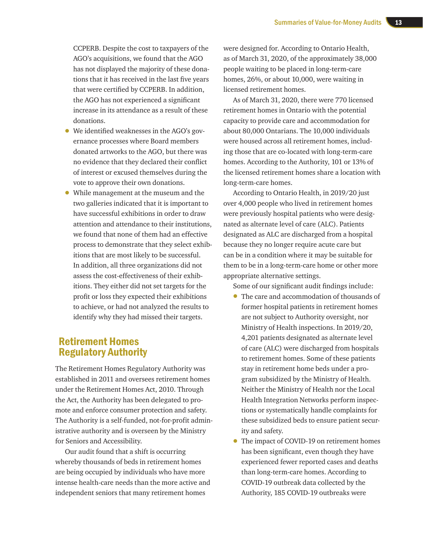CCPERB. Despite the cost to taxpayers of the AGO's acquisitions, we found that the AGO has not displayed the majority of these donations that it has received in the last five years that were certified by CCPERB. In addition, the AGO has not experienced a significant increase in its attendance as a result of these donations.

- We identified weaknesses in the AGO's governance processes where Board members donated artworks to the AGO, but there was no evidence that they declared their conflict of interest or excused themselves during the vote to approve their own donations.
- While management at the museum and the two galleries indicated that it is important to have successful exhibitions in order to draw attention and attendance to their institutions, we found that none of them had an effective process to demonstrate that they select exhibitions that are most likely to be successful. In addition, all three organizations did not assess the cost-effectiveness of their exhibitions. They either did not set targets for the profit or loss they expected their exhibitions to achieve, or had not analyzed the results to identify why they had missed their targets.

## Retirement Homes Regulatory Authority

The Retirement Homes Regulatory Authority was established in 2011 and oversees retirement homes under the Retirement Homes Act, 2010. Through the Act, the Authority has been delegated to promote and enforce consumer protection and safety. The Authority is a self-funded, not-for-profit administrative authority and is overseen by the Ministry for Seniors and Accessibility.

Our audit found that a shift is occurring whereby thousands of beds in retirement homes are being occupied by individuals who have more intense health-care needs than the more active and independent seniors that many retirement homes

were designed for. According to Ontario Health, as of March 31, 2020, of the approximately 38,000 people waiting to be placed in long-term-care homes, 26%, or about 10,000, were waiting in licensed retirement homes.

As of March 31, 2020, there were 770 licensed retirement homes in Ontario with the potential capacity to provide care and accommodation for about 80,000 Ontarians. The 10,000 individuals were housed across all retirement homes, including those that are co-located with long-term-care homes. According to the Authority, 101 or 13% of the licensed retirement homes share a location with long-term-care homes.

According to Ontario Health, in 2019/20 just over 4,000 people who lived in retirement homes were previously hospital patients who were designated as alternate level of care (ALC). Patients designated as ALC are discharged from a hospital because they no longer require acute care but can be in a condition where it may be suitable for them to be in a long-term-care home or other more appropriate alternative settings.

Some of our significant audit findings include:

- The care and accommodation of thousands of former hospital patients in retirement homes are not subject to Authority oversight, nor Ministry of Health inspections. In 2019/20, 4,201 patients designated as alternate level of care (ALC) were discharged from hospitals to retirement homes. Some of these patients stay in retirement home beds under a program subsidized by the Ministry of Health. Neither the Ministry of Health nor the Local Health Integration Networks perform inspections or systematically handle complaints for these subsidized beds to ensure patient security and safety.
- The impact of COVID-19 on retirement homes has been significant, even though they have experienced fewer reported cases and deaths than long-term-care homes. According to COVID-19 outbreak data collected by the Authority, 185 COVID-19 outbreaks were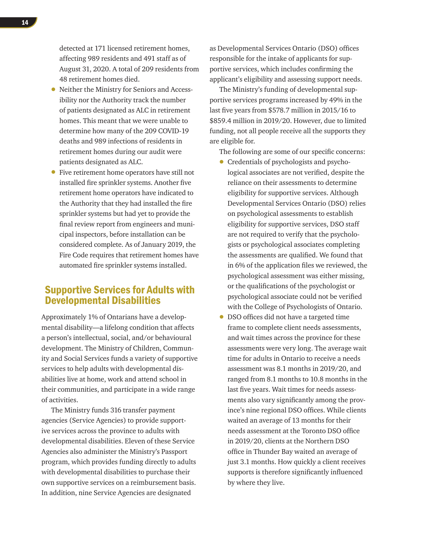detected at 171 licensed retirement homes, affecting 989 residents and 491 staff as of August 31, 2020. A total of 209 residents from 48 retirement homes died.

- Neither the Ministry for Seniors and Accessibility nor the Authority track the number of patients designated as ALC in retirement homes. This meant that we were unable to determine how many of the 209 COVID-19 deaths and 989 infections of residents in retirement homes during our audit were patients designated as ALC.
- Five retirement home operators have still not installed fire sprinkler systems. Another five retirement home operators have indicated to the Authority that they had installed the fire sprinkler systems but had yet to provide the final review report from engineers and municipal inspectors, before installation can be considered complete. As of January 2019, the Fire Code requires that retirement homes have automated fire sprinkler systems installed.

#### Supportive Services for Adults with Developmental Disabilities

Approximately 1% of Ontarians have a developmental disability—a lifelong condition that affects a person's intellectual, social, and/or behavioural development. The Ministry of Children, Community and Social Services funds a variety of supportive services to help adults with developmental disabilities live at home, work and attend school in their communities, and participate in a wide range of activities.

The Ministry funds 316 transfer payment agencies (Service Agencies) to provide supportive services across the province to adults with developmental disabilities. Eleven of these Service Agencies also administer the Ministry's Passport program, which provides funding directly to adults with developmental disabilities to purchase their own supportive services on a reimbursement basis. In addition, nine Service Agencies are designated

as Developmental Services Ontario (DSO) offices responsible for the intake of applicants for supportive services, which includes confirming the applicant's eligibility and assessing support needs.

The Ministry's funding of developmental supportive services programs increased by 49% in the last five years from \$578.7 million in 2015/16 to \$859.4 million in 2019/20. However, due to limited funding, not all people receive all the supports they are eligible for.

The following are some of our specific concerns:

- Credentials of psychologists and psychological associates are not verified, despite the reliance on their assessments to determine eligibility for supportive services. Although Developmental Services Ontario (DSO) relies on psychological assessments to establish eligibility for supportive services, DSO staff are not required to verify that the psychologists or psychological associates completing the assessments are qualified. We found that in 6% of the application files we reviewed, the psychological assessment was either missing, or the qualifications of the psychologist or psychological associate could not be verified with the College of Psychologists of Ontario.
- DSO offices did not have a targeted time frame to complete client needs assessments, and wait times across the province for these assessments were very long. The average wait time for adults in Ontario to receive a needs assessment was 8.1 months in 2019/20, and ranged from 8.1 months to 10.8 months in the last five years. Wait times for needs assessments also vary significantly among the province's nine regional DSO offices. While clients waited an average of 13 months for their needs assessment at the Toronto DSO office in 2019/20, clients at the Northern DSO office in Thunder Bay waited an average of just 3.1 months. How quickly a client receives supports is therefore significantly influenced by where they live.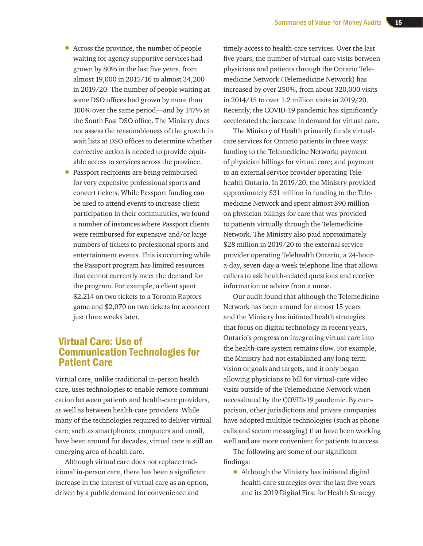- Across the province, the number of people waiting for agency supportive services had grown by 80% in the last five years, from almost 19,000 in 2015/16 to almost 34,200 in 2019/20. The number of people waiting at some DSO offices had grown by more than 100% over the same period—and by 147% at the South East DSO office. The Ministry does not assess the reasonableness of the growth in wait lists at DSO offices to determine whether corrective action is needed to provide equitable access to services across the province.
- Passport recipients are being reimbursed for very expensive professional sports and concert tickets. While Passport funding can be used to attend events to increase client participation in their communities, we found a number of instances where Passport clients were reimbursed for expensive and/or large numbers of tickets to professional sports and entertainment events. This is occurring while the Passport program has limited resources that cannot currently meet the demand for the program. For example, a client spent \$2,214 on two tickets to a Toronto Raptors game and \$2,070 on two tickets for a concert just three weeks later.

#### Virtual Care: Use of Communication Technologies for Patient Care

Virtual care, unlike traditional in-person health care, uses technologies to enable remote communication between patients and health-care providers, as well as between health-care providers. While many of the technologies required to deliver virtual care, such as smartphones, computers and email, have been around for decades, virtual care is still an emerging area of health care.

Although virtual care does not replace traditional in-person care, there has been a significant increase in the interest of virtual care as an option, driven by a public demand for convenience and

timely access to health-care services. Over the last five years, the number of virtual-care visits between physicians and patients through the Ontario Telemedicine Network (Telemedicine Network) has increased by over 250%, from about 320,000 visits in 2014/15 to over 1.2 million visits in 2019/20. Recently, the COVID-19 pandemic has significantly accelerated the increase in demand for virtual care.

The Ministry of Health primarily funds virtualcare services for Ontario patients in three ways: funding to the Telemedicine Network; payment of physician billings for virtual care; and payment to an external service provider operating Telehealth Ontario. In 2019/20, the Ministry provided approximately \$31 million in funding to the Telemedicine Network and spent almost \$90 million on physician billings for care that was provided to patients virtually through the Telemedicine Network. The Ministry also paid approximately \$28 million in 2019/20 to the external service provider operating Telehealth Ontario, a 24-houra-day, seven-day-a-week telephone line that allows callers to ask health-related questions and receive information or advice from a nurse.

Our audit found that although the Telemedicine Network has been around for almost 15 years and the Ministry has initiated health strategies that focus on digital technology in recent years, Ontario's progress on integrating virtual care into the health-care system remains slow. For example, the Ministry had not established any long-term vision or goals and targets, and it only began allowing physicians to bill for virtual-care video visits outside of the Telemedicine Network when necessitated by the COVID-19 pandemic. By comparison, other jurisdictions and private companies have adopted multiple technologies (such as phone calls and secure messaging) that have been working well and are more convenient for patients to access.

The following are some of our significant findings:

• Although the Ministry has initiated digital health-care strategies over the last five years and its 2019 Digital First for Health Strategy